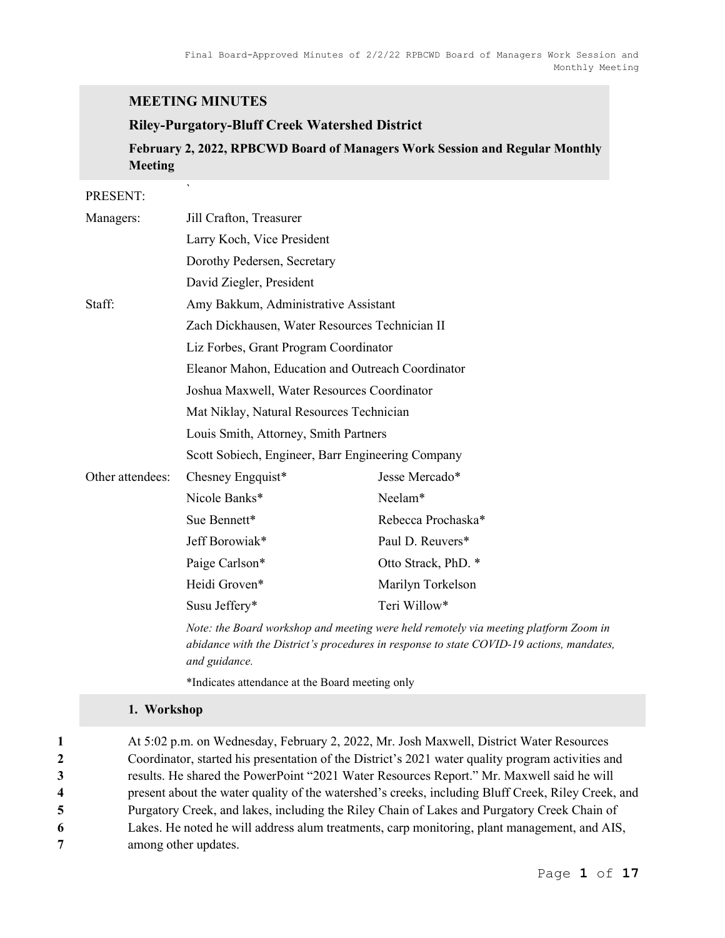## MEETING MINUTES

### Riley-Purgatory-Bluff Creek Watershed District

February 2, 2022, RPBCWD Board of Managers Work Session and Regular Monthly Meeting

#### PRESENT:

| Managers:        | Jill Crafton, Treasurer                           |                     |  |
|------------------|---------------------------------------------------|---------------------|--|
|                  | Larry Koch, Vice President                        |                     |  |
|                  | Dorothy Pedersen, Secretary                       |                     |  |
|                  | David Ziegler, President                          |                     |  |
| Staff:           | Amy Bakkum, Administrative Assistant              |                     |  |
|                  | Zach Dickhausen, Water Resources Technician II    |                     |  |
|                  | Liz Forbes, Grant Program Coordinator             |                     |  |
|                  | Eleanor Mahon, Education and Outreach Coordinator |                     |  |
|                  | Joshua Maxwell, Water Resources Coordinator       |                     |  |
|                  | Mat Niklay, Natural Resources Technician          |                     |  |
|                  | Louis Smith, Attorney, Smith Partners             |                     |  |
|                  | Scott Sobiech, Engineer, Barr Engineering Company |                     |  |
| Other attendees: | Chesney Engquist*                                 | Jesse Mercado*      |  |
|                  | Nicole Banks*                                     | Neelam*             |  |
|                  | Sue Bennett*                                      | Rebecca Prochaska*  |  |
|                  | Jeff Borowiak*                                    | Paul D. Reuvers*    |  |
|                  | Paige Carlson*                                    | Otto Strack, PhD. * |  |
|                  | Heidi Groven*                                     | Marilyn Torkelson   |  |
|                  | Susu Jeffery*                                     | Teri Willow*        |  |
|                  |                                                   |                     |  |

Note: the Board workshop and meeting were held remotely via meeting platform Zoom in abidance with the District's procedures in response to state COVID-19 actions, mandates, and guidance.

\*Indicates attendance at the Board meeting only

#### 1. Workshop

At 5:02 p.m. on Wednesday, February 2, 2022, Mr. Josh Maxwell, District Water Resources Coordinator, started his presentation of the District's 2021 water quality program activities and results. He shared the PowerPoint "2021 Water Resources Report." Mr. Maxwell said he will present about the water quality of the watershed's creeks, including Bluff Creek, Riley Creek, and Purgatory Creek, and lakes, including the Riley Chain of Lakes and Purgatory Creek Chain of Lakes. He noted he will address alum treatments, carp monitoring, plant management, and AIS, among other updates.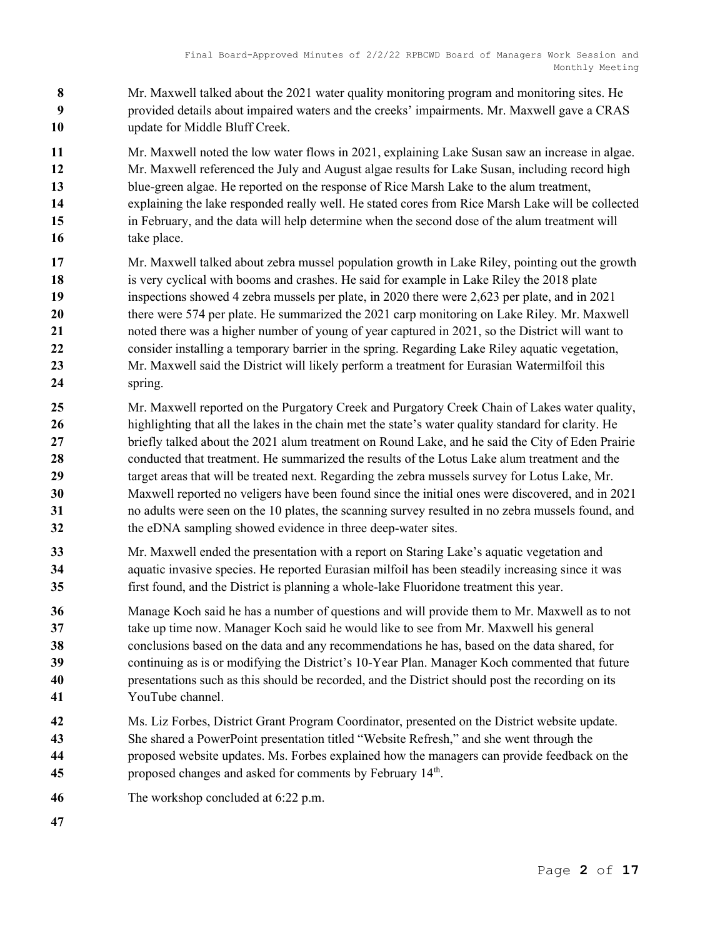- 8 Mr. Maxwell talked about the 2021 water quality monitoring program and monitoring sites. He provided details about impaired waters and the creeks' impairments. Mr. Maxwell gave a CRAS 10 update for Middle Bluff Creek.
- Mr. Maxwell noted the low water flows in 2021, explaining Lake Susan saw an increase in algae. Mr. Maxwell referenced the July and August algae results for Lake Susan, including record high blue-green algae. He reported on the response of Rice Marsh Lake to the alum treatment, explaining the lake responded really well. He stated cores from Rice Marsh Lake will be collected in February, and the data will help determine when the second dose of the alum treatment will 16 take place.
- Mr. Maxwell talked about zebra mussel population growth in Lake Riley, pointing out the growth 18 is very cyclical with booms and crashes. He said for example in Lake Riley the 2018 plate inspections showed 4 zebra mussels per plate, in 2020 there were 2,623 per plate, and in 2021 20 there were 574 per plate. He summarized the 2021 carp monitoring on Lake Riley. Mr. Maxwell noted there was a higher number of young of year captured in 2021, so the District will want to 22 consider installing a temporary barrier in the spring. Regarding Lake Riley aquatic vegetation, 23 Mr. Maxwell said the District will likely perform a treatment for Eurasian Watermilfoil this 24 spring.
- Mr. Maxwell reported on the Purgatory Creek and Purgatory Creek Chain of Lakes water quality, 26 highlighting that all the lakes in the chain met the state's water quality standard for clarity. He briefly talked about the 2021 alum treatment on Round Lake, and he said the City of Eden Prairie 28 conducted that treatment. He summarized the results of the Lotus Lake alum treatment and the 29 target areas that will be treated next. Regarding the zebra mussels survey for Lotus Lake, Mr. Maxwell reported no veligers have been found since the initial ones were discovered, and in 2021 no adults were seen on the 10 plates, the scanning survey resulted in no zebra mussels found, and 32 the eDNA sampling showed evidence in three deep-water sites.
- Mr. Maxwell ended the presentation with a report on Staring Lake's aquatic vegetation and 34 aquatic invasive species. He reported Eurasian milfoil has been steadily increasing since it was first found, and the District is planning a whole-lake Fluoridone treatment this year.
- Manage Koch said he has a number of questions and will provide them to Mr. Maxwell as to not take up time now. Manager Koch said he would like to see from Mr. Maxwell his general conclusions based on the data and any recommendations he has, based on the data shared, for continuing as is or modifying the District's 10-Year Plan. Manager Koch commented that future presentations such as this should be recorded, and the District should post the recording on its YouTube channel.
- Ms. Liz Forbes, District Grant Program Coordinator, presented on the District website update. She shared a PowerPoint presentation titled "Website Refresh," and she went through the proposed website updates. Ms. Forbes explained how the managers can provide feedback on the **proposed changes and asked for comments by February 14th.**
- The workshop concluded at 6:22 p.m.
-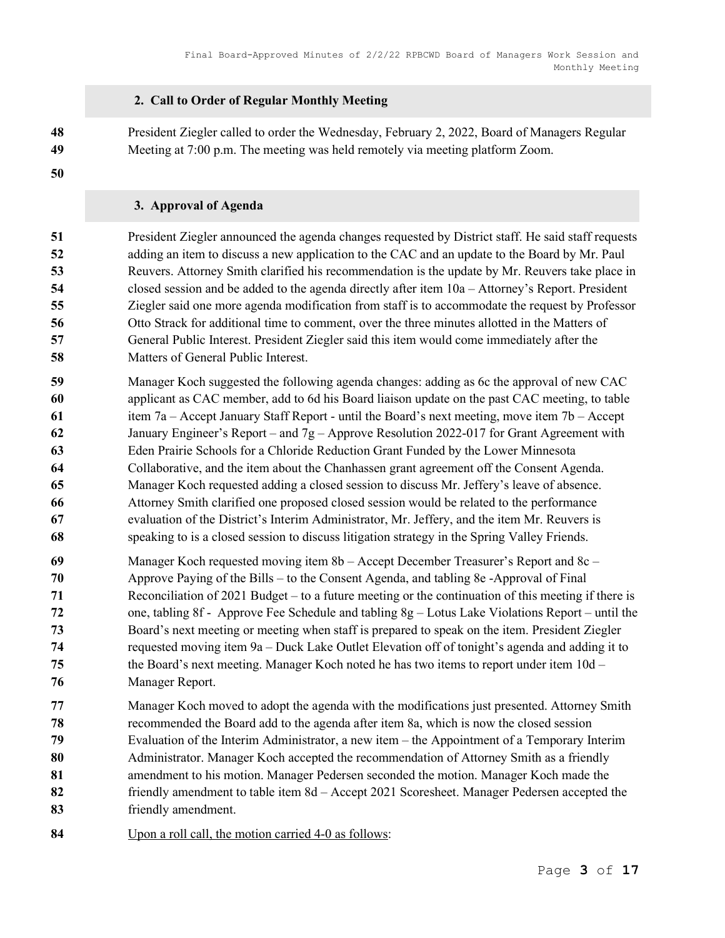## 2. Call to Order of Regular Monthly Meeting

President Ziegler called to order the Wednesday, February 2, 2022, Board of Managers Regular Meeting at 7:00 p.m. The meeting was held remotely via meeting platform Zoom.

## 3. Approval of Agenda

President Ziegler announced the agenda changes requested by District staff. He said staff requests adding an item to discuss a new application to the CAC and an update to the Board by Mr. Paul Reuvers. Attorney Smith clarified his recommendation is the update by Mr. Reuvers take place in closed session and be added to the agenda directly after item 10a – Attorney's Report. President Ziegler said one more agenda modification from staff is to accommodate the request by Professor Otto Strack for additional time to comment, over the three minutes allotted in the Matters of General Public Interest. President Ziegler said this item would come immediately after the Matters of General Public Interest.

- Manager Koch suggested the following agenda changes: adding as 6c the approval of new CAC applicant as CAC member, add to 6d his Board liaison update on the past CAC meeting, to table 61 item 7a – Accept January Staff Report - until the Board's next meeting, move item 7b – Accept 62 January Engineer's Report – and  $7g$  – Approve Resolution 2022-017 for Grant Agreement with Eden Prairie Schools for a Chloride Reduction Grant Funded by the Lower Minnesota Collaborative, and the item about the Chanhassen grant agreement off the Consent Agenda. Manager Koch requested adding a closed session to discuss Mr. Jeffery's leave of absence. Attorney Smith clarified one proposed closed session would be related to the performance evaluation of the District's Interim Administrator, Mr. Jeffery, and the item Mr. Reuvers is speaking to is a closed session to discuss litigation strategy in the Spring Valley Friends.
- Manager Koch requested moving item 8b Accept December Treasurer's Report and 8c Approve Paying of the Bills – to the Consent Agenda, and tabling 8e -Approval of Final Reconciliation of 2021 Budget – to a future meeting or the continuation of this meeting if there is one, tabling 8f - Approve Fee Schedule and tabling 8g – Lotus Lake Violations Report – until the Board's next meeting or meeting when staff is prepared to speak on the item. President Ziegler requested moving item 9a – Duck Lake Outlet Elevation off of tonight's agenda and adding it to 75 the Board's next meeting. Manager Koch noted he has two items to report under item 10d – Manager Report.
- Manager Koch moved to adopt the agenda with the modifications just presented. Attorney Smith recommended the Board add to the agenda after item 8a, which is now the closed session Evaluation of the Interim Administrator, a new item – the Appointment of a Temporary Interim 80 Administrator. Manager Koch accepted the recommendation of Attorney Smith as a friendly amendment to his motion. Manager Pedersen seconded the motion. Manager Koch made the 82 friendly amendment to table item 8d – Accept 2021 Scoresheet. Manager Pedersen accepted the friendly amendment.
- Upon a roll call, the motion carried 4-0 as follows: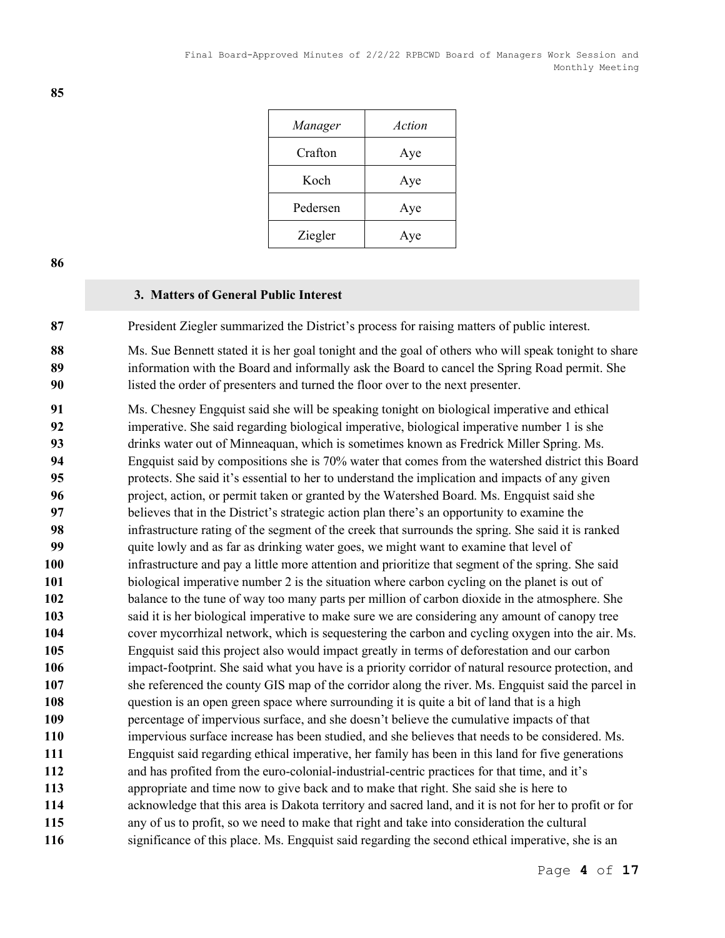| Manager  | Action |
|----------|--------|
| Crafton  | Aye    |
| Koch     | Aye    |
| Pedersen | Aye    |
| Ziegler  | Aye    |

### 3. Matters of General Public Interest

87 President Ziegler summarized the District's process for raising matters of public interest.

88 Ms. Sue Bennett stated it is her goal tonight and the goal of others who will speak tonight to share 89 information with the Board and informally ask the Board to cancel the Spring Road permit. She listed the order of presenters and turned the floor over to the next presenter.

Ms. Chesney Engquist said she will be speaking tonight on biological imperative and ethical imperative. She said regarding biological imperative, biological imperative number 1 is she drinks water out of Minneaquan, which is sometimes known as Fredrick Miller Spring. Ms. Engquist said by compositions she is 70% water that comes from the watershed district this Board protects. She said it's essential to her to understand the implication and impacts of any given project, action, or permit taken or granted by the Watershed Board. Ms. Engquist said she believes that in the District's strategic action plan there's an opportunity to examine the infrastructure rating of the segment of the creek that surrounds the spring. She said it is ranked quite lowly and as far as drinking water goes, we might want to examine that level of infrastructure and pay a little more attention and prioritize that segment of the spring. She said biological imperative number 2 is the situation where carbon cycling on the planet is out of 102 balance to the tune of way too many parts per million of carbon dioxide in the atmosphere. She said it is her biological imperative to make sure we are considering any amount of canopy tree cover mycorrhizal network, which is sequestering the carbon and cycling oxygen into the air. Ms. Engquist said this project also would impact greatly in terms of deforestation and our carbon impact-footprint. She said what you have is a priority corridor of natural resource protection, and she referenced the county GIS map of the corridor along the river. Ms. Engquist said the parcel in 108 question is an open green space where surrounding it is quite a bit of land that is a high percentage of impervious surface, and she doesn't believe the cumulative impacts of that impervious surface increase has been studied, and she believes that needs to be considered. Ms. Engquist said regarding ethical imperative, her family has been in this land for five generations and has profited from the euro-colonial-industrial-centric practices for that time, and it's appropriate and time now to give back and to make that right. She said she is here to acknowledge that this area is Dakota territory and sacred land, and it is not for her to profit or for any of us to profit, so we need to make that right and take into consideration the cultural 116 significance of this place. Ms. Engquist said regarding the second ethical imperative, she is an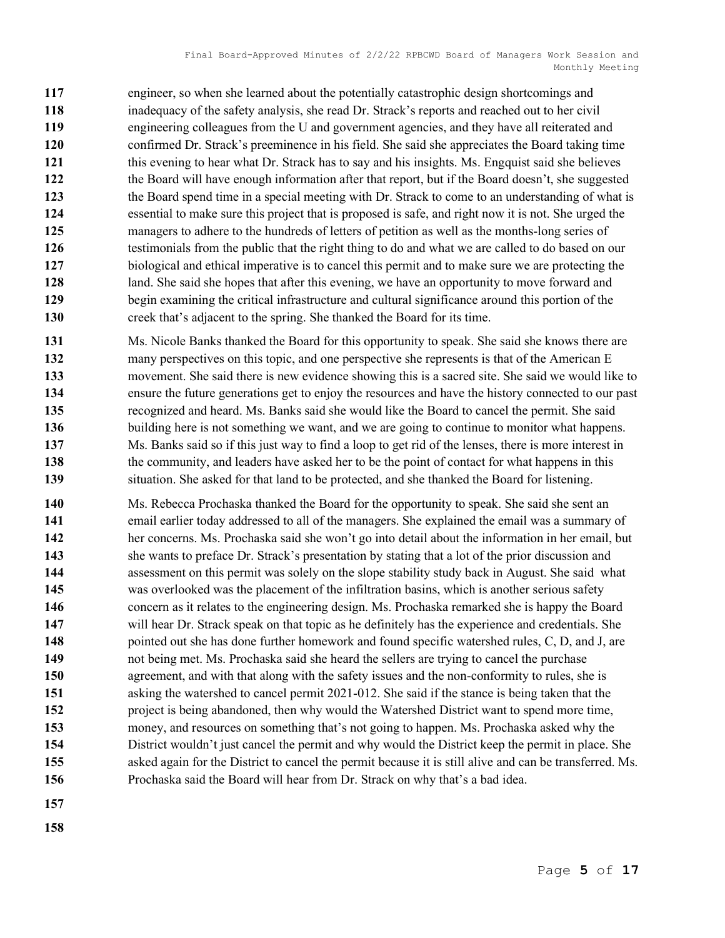engineer, so when she learned about the potentially catastrophic design shortcomings and inadequacy of the safety analysis, she read Dr. Strack's reports and reached out to her civil engineering colleagues from the U and government agencies, and they have all reiterated and confirmed Dr. Strack's preeminence in his field. She said she appreciates the Board taking time this evening to hear what Dr. Strack has to say and his insights. Ms. Engquist said she believes the Board will have enough information after that report, but if the Board doesn't, she suggested 123 the Board spend time in a special meeting with Dr. Strack to come to an understanding of what is essential to make sure this project that is proposed is safe, and right now it is not. She urged the managers to adhere to the hundreds of letters of petition as well as the months-long series of 126 testimonials from the public that the right thing to do and what we are called to do based on our biological and ethical imperative is to cancel this permit and to make sure we are protecting the 128 land. She said she hopes that after this evening, we have an opportunity to move forward and begin examining the critical infrastructure and cultural significance around this portion of the creek that's adjacent to the spring. She thanked the Board for its time.

- Ms. Nicole Banks thanked the Board for this opportunity to speak. She said she knows there are many perspectives on this topic, and one perspective she represents is that of the American E movement. She said there is new evidence showing this is a sacred site. She said we would like to ensure the future generations get to enjoy the resources and have the history connected to our past recognized and heard. Ms. Banks said she would like the Board to cancel the permit. She said building here is not something we want, and we are going to continue to monitor what happens. Ms. Banks said so if this just way to find a loop to get rid of the lenses, there is more interest in 138 the community, and leaders have asked her to be the point of contact for what happens in this 139 situation. She asked for that land to be protected, and she thanked the Board for listening.
- Ms. Rebecca Prochaska thanked the Board for the opportunity to speak. She said she sent an email earlier today addressed to all of the managers. She explained the email was a summary of her concerns. Ms. Prochaska said she won't go into detail about the information in her email, but 143 she wants to preface Dr. Strack's presentation by stating that a lot of the prior discussion and assessment on this permit was solely on the slope stability study back in August. She said what was overlooked was the placement of the infiltration basins, which is another serious safety concern as it relates to the engineering design. Ms. Prochaska remarked she is happy the Board will hear Dr. Strack speak on that topic as he definitely has the experience and credentials. She 148 pointed out she has done further homework and found specific watershed rules, C, D, and J, are not being met. Ms. Prochaska said she heard the sellers are trying to cancel the purchase agreement, and with that along with the safety issues and the non-conformity to rules, she is asking the watershed to cancel permit 2021-012. She said if the stance is being taken that the project is being abandoned, then why would the Watershed District want to spend more time, money, and resources on something that's not going to happen. Ms. Prochaska asked why the District wouldn't just cancel the permit and why would the District keep the permit in place. She asked again for the District to cancel the permit because it is still alive and can be transferred. Ms. Prochaska said the Board will hear from Dr. Strack on why that's a bad idea.
- 
-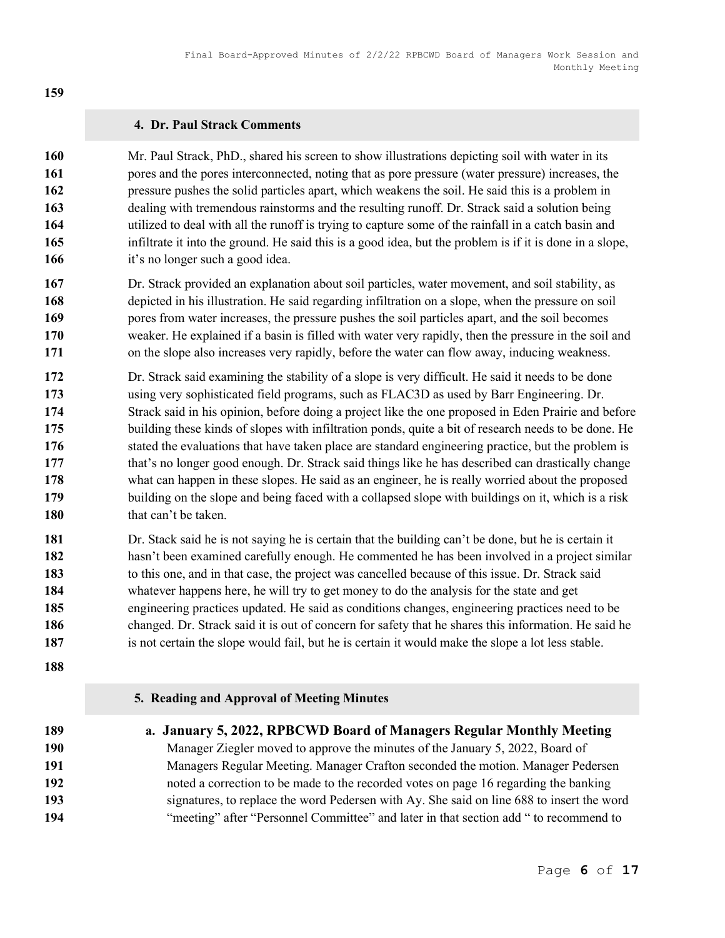## 4. Dr. Paul Strack Comments

| 160 | Mr. Paul Strack, PhD., shared his screen to show illustrations depicting soil with water in its          |
|-----|----------------------------------------------------------------------------------------------------------|
| 161 | pores and the pores interconnected, noting that as pore pressure (water pressure) increases, the         |
| 162 | pressure pushes the solid particles apart, which weakens the soil. He said this is a problem in          |
| 163 | dealing with tremendous rainstorms and the resulting runoff. Dr. Strack said a solution being            |
| 164 | utilized to deal with all the runoff is trying to capture some of the rainfall in a catch basin and      |
| 165 | infiltrate it into the ground. He said this is a good idea, but the problem is if it is done in a slope, |
| 166 | it's no longer such a good idea.                                                                         |
|     |                                                                                                          |

- Dr. Strack provided an explanation about soil particles, water movement, and soil stability, as depicted in his illustration. He said regarding infiltration on a slope, when the pressure on soil pores from water increases, the pressure pushes the soil particles apart, and the soil becomes weaker. He explained if a basin is filled with water very rapidly, then the pressure in the soil and on the slope also increases very rapidly, before the water can flow away, inducing weakness.
- Dr. Strack said examining the stability of a slope is very difficult. He said it needs to be done using very sophisticated field programs, such as FLAC3D as used by Barr Engineering. Dr. Strack said in his opinion, before doing a project like the one proposed in Eden Prairie and before building these kinds of slopes with infiltration ponds, quite a bit of research needs to be done. He stated the evaluations that have taken place are standard engineering practice, but the problem is 177 that's no longer good enough. Dr. Strack said things like he has described can drastically change what can happen in these slopes. He said as an engineer, he is really worried about the proposed building on the slope and being faced with a collapsed slope with buildings on it, which is a risk 180 that can't be taken.
- Dr. Stack said he is not saying he is certain that the building can't be done, but he is certain it hasn't been examined carefully enough. He commented he has been involved in a project similar 183 to this one, and in that case, the project was cancelled because of this issue. Dr. Strack said whatever happens here, he will try to get money to do the analysis for the state and get engineering practices updated. He said as conditions changes, engineering practices need to be 186 changed. Dr. Strack said it is out of concern for safety that he shares this information. He said he 187 is not certain the slope would fail, but he is certain it would make the slope a lot less stable.
- 
- 5. Reading and Approval of Meeting Minutes
- 189 a. January 5, 2022, RPBCWD Board of Managers Regular Monthly Meeting Manager Ziegler moved to approve the minutes of the January 5, 2022, Board of Managers Regular Meeting. Manager Crafton seconded the motion. Manager Pedersen noted a correction to be made to the recorded votes on page 16 regarding the banking signatures, to replace the word Pedersen with Ay. She said on line 688 to insert the word "meeting" after "Personnel Committee" and later in that section add " to recommend to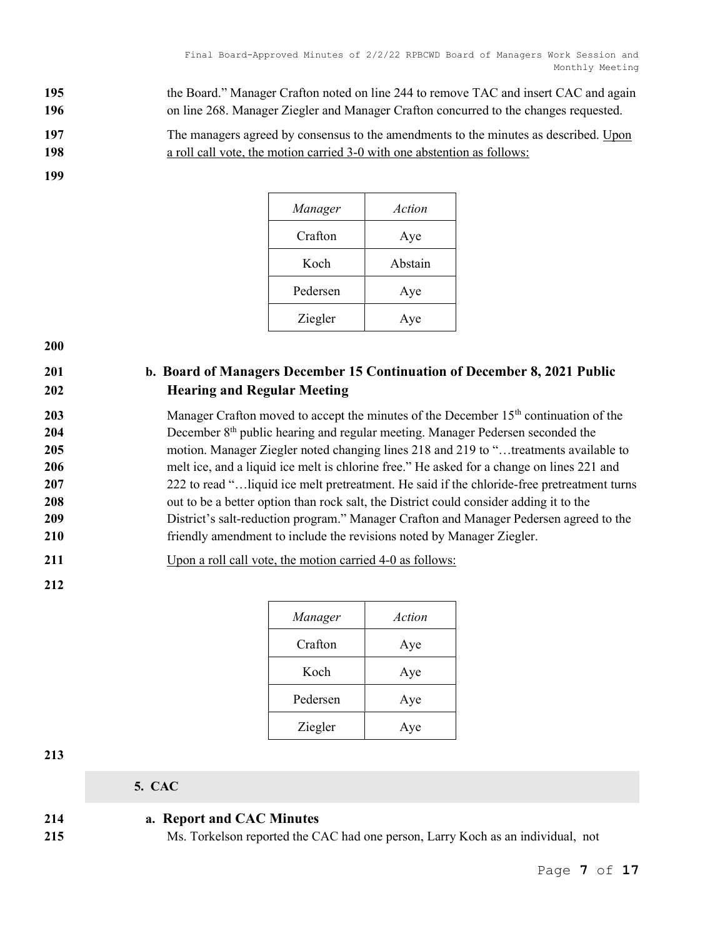195 the Board." Manager Crafton noted on line 244 to remove TAC and insert CAC and again 196 on line 268. Manager Ziegler and Manager Crafton concurred to the changes requested.

197 The managers agreed by consensus to the amendments to the minutes as described. Upon 198 a roll call vote, the motion carried 3-0 with one abstention as follows:

199

| Manager  | Action  |
|----------|---------|
| Crafton  | Aye     |
| Koch     | Abstain |
| Pedersen | Aye     |
| Ziegler  | Aye     |

200

# 201 b. Board of Managers December 15 Continuation of December 8, 2021 Public 202 Hearing and Regular Meeting

203 Manager Crafton moved to accept the minutes of the December  $15<sup>th</sup>$  continuation of the 204 December 8<sup>th</sup> public hearing and regular meeting. Manager Pedersen seconded the 205 motion. Manager Ziegler noted changing lines 218 and 219 to "...treatments available to 206 melt ice, and a liquid ice melt is chlorine free." He asked for a change on lines 221 and 207 222 to read "...liquid ice melt pretreatment. He said if the chloride-free pretreatment turns 208 out to be a better option than rock salt, the District could consider adding it to the 209 District's salt-reduction program." Manager Crafton and Manager Pedersen agreed to the 210 friendly amendment to include the revisions noted by Manager Ziegler.

211 Upon a roll call vote, the motion carried 4-0 as follows:

212

| Manager  | Action |
|----------|--------|
| Crafton  | Aye    |
| Koch     | Aye    |
| Pedersen | Aye    |
| Ziegler  | Aye    |

213

5. CAC

214 a. Report and CAC Minutes

215 Ms. Torkelson reported the CAC had one person, Larry Koch as an individual, not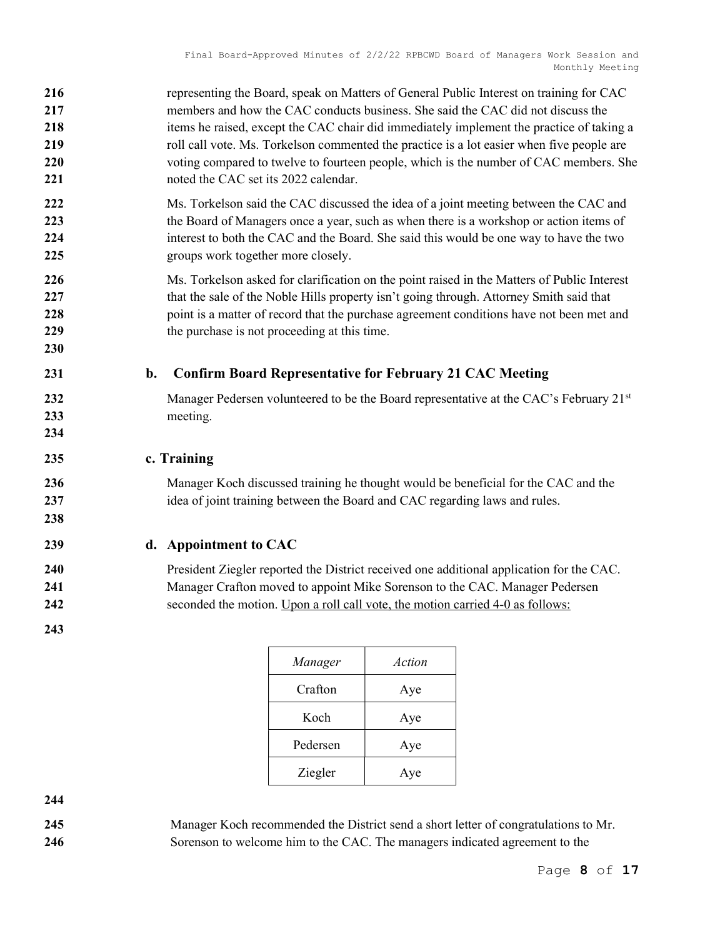| 216<br>217<br>218<br>219<br>220<br>221 | representing the Board, speak on Matters of General Public Interest on training for CAC<br>members and how the CAC conducts business. She said the CAC did not discuss the<br>items he raised, except the CAC chair did immediately implement the practice of taking a<br>roll call vote. Ms. Torkelson commented the practice is a lot easier when five people are<br>voting compared to twelve to fourteen people, which is the number of CAC members. She<br>noted the CAC set its 2022 calendar. |
|----------------------------------------|------------------------------------------------------------------------------------------------------------------------------------------------------------------------------------------------------------------------------------------------------------------------------------------------------------------------------------------------------------------------------------------------------------------------------------------------------------------------------------------------------|
| 222<br>223<br>224<br>225               | Ms. Torkelson said the CAC discussed the idea of a joint meeting between the CAC and<br>the Board of Managers once a year, such as when there is a workshop or action items of<br>interest to both the CAC and the Board. She said this would be one way to have the two<br>groups work together more closely.                                                                                                                                                                                       |
| 226<br>227<br>228<br>229<br>230        | Ms. Torkelson asked for clarification on the point raised in the Matters of Public Interest<br>that the sale of the Noble Hills property isn't going through. Attorney Smith said that<br>point is a matter of record that the purchase agreement conditions have not been met and<br>the purchase is not proceeding at this time.                                                                                                                                                                   |
| 231                                    | <b>Confirm Board Representative for February 21 CAC Meeting</b><br>b.                                                                                                                                                                                                                                                                                                                                                                                                                                |
| 232<br>233<br>234                      | Manager Pedersen volunteered to be the Board representative at the CAC's February 21st<br>meeting.                                                                                                                                                                                                                                                                                                                                                                                                   |
| 235                                    | c. Training                                                                                                                                                                                                                                                                                                                                                                                                                                                                                          |
| 236<br>237<br>238                      | Manager Koch discussed training he thought would be beneficial for the CAC and the<br>idea of joint training between the Board and CAC regarding laws and rules.                                                                                                                                                                                                                                                                                                                                     |
| 239                                    | d. Appointment to CAC                                                                                                                                                                                                                                                                                                                                                                                                                                                                                |
| 240                                    | President Ziegler reported the District received one additional application for the CAC.                                                                                                                                                                                                                                                                                                                                                                                                             |
| 241<br>242                             | Manager Crafton moved to appoint Mike Sorenson to the CAC. Manager Pedersen<br>seconded the motion. Upon a roll call vote, the motion carried 4-0 as follows:                                                                                                                                                                                                                                                                                                                                        |

| Manager  | Action |
|----------|--------|
| Crafton  | Aye    |
| Koch     | Aye    |
| Pedersen | Aye    |
| Ziegler  | Aye    |

Manager Koch recommended the District send a short letter of congratulations to Mr. Sorenson to welcome him to the CAC. The managers indicated agreement to the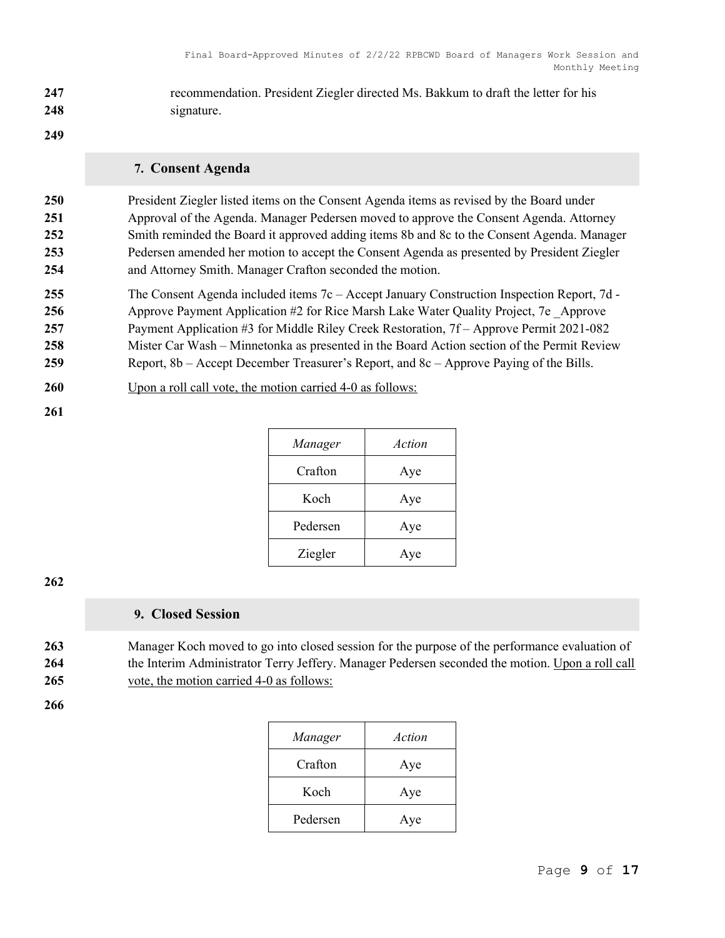247 recommendation. President Ziegler directed Ms. Bakkum to draft the letter for his 248 signature.

### 249

### 7. Consent Agenda

President Ziegler listed items on the Consent Agenda items as revised by the Board under Approval of the Agenda. Manager Pedersen moved to approve the Consent Agenda. Attorney Smith reminded the Board it approved adding items 8b and 8c to the Consent Agenda. Manager Pedersen amended her motion to accept the Consent Agenda as presented by President Ziegler and Attorney Smith. Manager Crafton seconded the motion.

255 The Consent Agenda included items 7c – Accept January Construction Inspection Report, 7d - 256 Approve Payment Application #2 for Rice Marsh Lake Water Quality Project, 7e Approve 257 Payment Application #3 for Middle Riley Creek Restoration, 7f – Approve Permit 2021-082 258 Mister Car Wash – Minnetonka as presented in the Board Action section of the Permit Review 259 Report, 8b – Accept December Treasurer's Report, and 8c – Approve Paying of the Bills.

- 260 Upon a roll call vote, the motion carried 4-0 as follows:
- 261

| Manager  | Action |
|----------|--------|
| Crafton  | Aye    |
| Koch     | Aye    |
| Pedersen | Aye    |
| Ziegler  | Aye    |

## 262

## 9. Closed Session

263 Manager Koch moved to go into closed session for the purpose of the performance evaluation of 264 the Interim Administrator Terry Jeffery. Manager Pedersen seconded the motion. Upon a roll call 265 vote, the motion carried 4-0 as follows:

| Manager  | Action |
|----------|--------|
| Crafton  | Aye    |
| Koch     | Aye    |
| Pedersen | Aye    |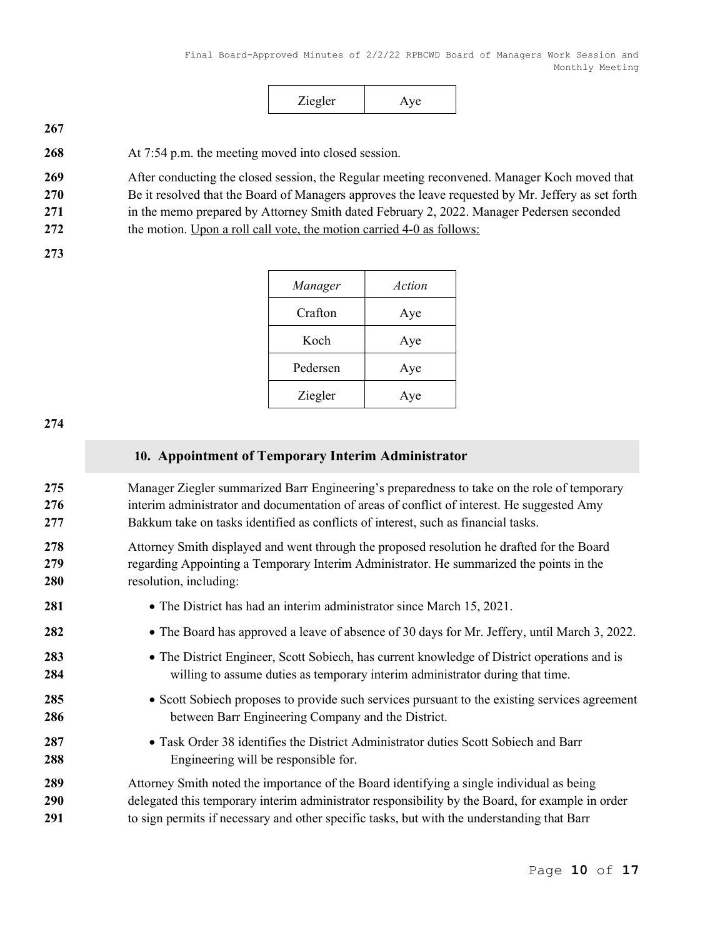|--|

268 At 7:54 p.m. the meeting moved into closed session.

269 After conducting the closed session, the Regular meeting reconvened. Manager Koch moved that

270 Be it resolved that the Board of Managers approves the leave requested by Mr. Jeffery as set forth

271 in the memo prepared by Attorney Smith dated February 2, 2022. Manager Pedersen seconded

272 the motion. Upon a roll call vote, the motion carried 4-0 as follows:

273

| Manager  | Action |
|----------|--------|
| Crafton  | Aye    |
| Koch     | Aye    |
| Pedersen | Aye    |
| Ziegler  | Aye    |

274

# 10. Appointment of Temporary Interim Administrator

275 Manager Ziegler summarized Barr Engineering's preparedness to take on the role of temporary 276 interim administrator and documentation of areas of conflict of interest. He suggested Amy 277 Bakkum take on tasks identified as conflicts of interest, such as financial tasks.

278 Attorney Smith displayed and went through the proposed resolution he drafted for the Board 279 regarding Appointing a Temporary Interim Administrator. He summarized the points in the 280 resolution, including:

281 • The District has had an interim administrator since March 15, 2021. 282 • The Board has approved a leave of absence of 30 days for Mr. Jeffery, until March 3, 2022. 283 • The District Engineer, Scott Sobiech, has current knowledge of District operations and is 284 willing to assume duties as temporary interim administrator during that time. 285 
Scott Sobiech proposes to provide such services pursuant to the existing services agreement 286 between Barr Engineering Company and the District. 287 • Task Order 38 identifies the District Administrator duties Scott Sobiech and Barr 288 Engineering will be responsible for. 289 Attorney Smith noted the importance of the Board identifying a single individual as being 290 delegated this temporary interim administrator responsibility by the Board, for example in order 291 to sign permits if necessary and other specific tasks, but with the understanding that Barr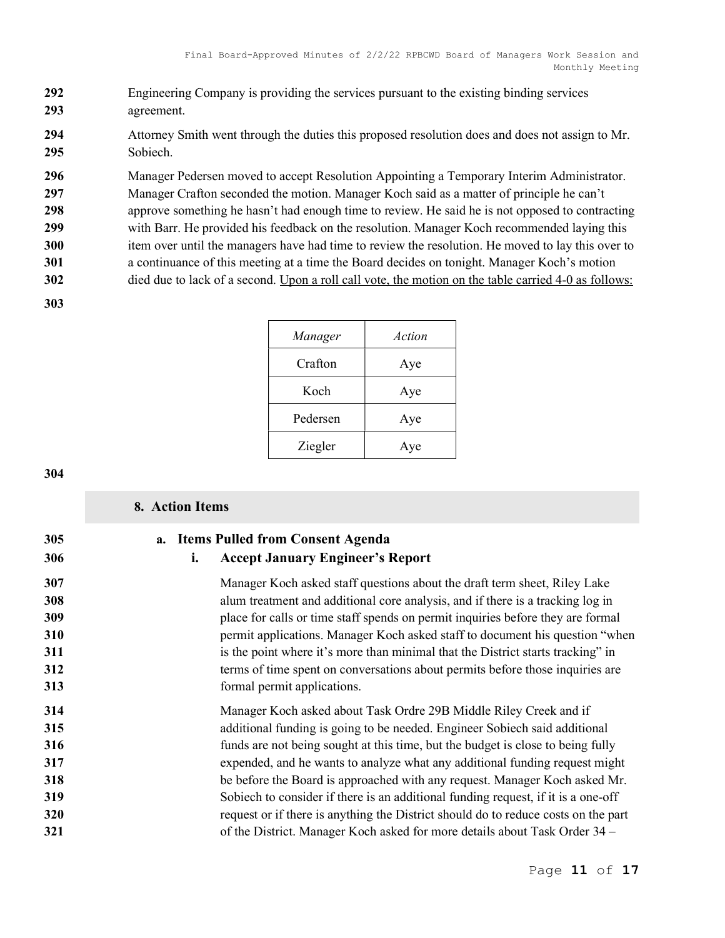- Engineering Company is providing the services pursuant to the existing binding services agreement.
- Attorney Smith went through the duties this proposed resolution does and does not assign to Mr. Sobiech.
- 296 Manager Pedersen moved to accept Resolution Appointing a Temporary Interim Administrator.
- Manager Crafton seconded the motion. Manager Koch said as a matter of principle he can't
- 298 approve something he hasn't had enough time to review. He said he is not opposed to contracting with Barr. He provided his feedback on the resolution. Manager Koch recommended laying this 300 item over until the managers have had time to review the resolution. He moved to lay this over to
- a continuance of this meeting at a time the Board decides on tonight. Manager Koch's motion
- 302 died due to lack of a second. Upon a roll call vote, the motion on the table carried 4-0 as follows:
- 

| Manager  | Action |
|----------|--------|
| Crafton  | Aye    |
| Koch     | Aye    |
| Pedersen | Aye    |
| Ziegler  | Aye    |

|                                                      | 8. Action Items                                                                                                                                                                                                                                                                                                                                                                                                                                                                                                                                                                                                                                          |
|------------------------------------------------------|----------------------------------------------------------------------------------------------------------------------------------------------------------------------------------------------------------------------------------------------------------------------------------------------------------------------------------------------------------------------------------------------------------------------------------------------------------------------------------------------------------------------------------------------------------------------------------------------------------------------------------------------------------|
| 305<br>306                                           | a. Items Pulled from Consent Agenda<br><b>Accept January Engineer's Report</b><br>i.                                                                                                                                                                                                                                                                                                                                                                                                                                                                                                                                                                     |
| 307<br>308<br>309<br>310<br>311<br>312<br>313        | Manager Koch asked staff questions about the draft term sheet, Riley Lake<br>alum treatment and additional core analysis, and if there is a tracking log in<br>place for calls or time staff spends on permit inquiries before they are formal<br>permit applications. Manager Koch asked staff to document his question "when<br>is the point where it's more than minimal that the District starts tracking" in<br>terms of time spent on conversations about permits before those inquiries are<br>formal permit applications.                                                                                                                        |
| 314<br>315<br>316<br>317<br>318<br>319<br>320<br>321 | Manager Koch asked about Task Ordre 29B Middle Riley Creek and if<br>additional funding is going to be needed. Engineer Sobiech said additional<br>funds are not being sought at this time, but the budget is close to being fully<br>expended, and he wants to analyze what any additional funding request might<br>be before the Board is approached with any request. Manager Koch asked Mr.<br>Sobiech to consider if there is an additional funding request, if it is a one-off<br>request or if there is anything the District should do to reduce costs on the part<br>of the District. Manager Koch asked for more details about Task Order 34 – |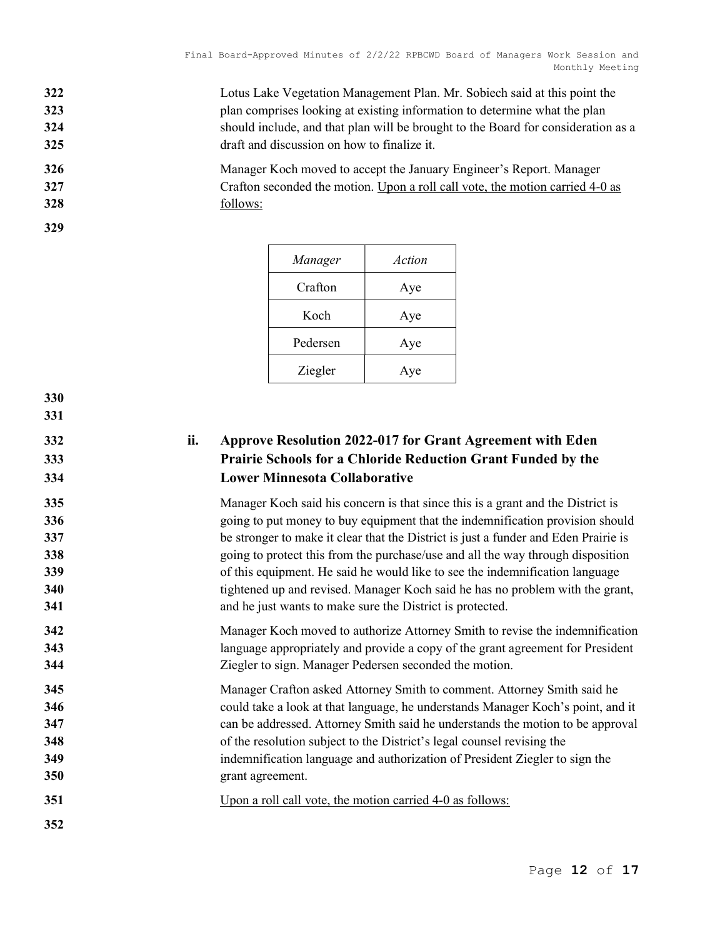- Lotus Lake Vegetation Management Plan. Mr. Sobiech said at this point the plan comprises looking at existing information to determine what the plan should include, and that plan will be brought to the Board for consideration as a draft and discussion on how to finalize it.
- Manager Koch moved to accept the January Engineer's Report. Manager Crafton seconded the motion. Upon a roll call vote, the motion carried 4-0 as follows:

| Manager  | Action |
|----------|--------|
| Crafton  | Aye    |
| Koch     | Aye    |
| Pedersen | Aye    |
| Ziegler  | Aye    |

# ii. Approve Resolution 2022-017 for Grant Agreement with Eden Prairie Schools for a Chloride Reduction Grant Funded by the Lower Minnesota Collaborative

Manager Koch said his concern is that since this is a grant and the District is 336 336 going to put money to buy equipment that the indemnification provision should 337 be stronger to make it clear that the District is just a funder and Eden Prairie is 338 338 going to protect this from the purchase/use and all the way through disposition 339 of this equipment. He said he would like to see the indemnification language tightened up and revised. Manager Koch said he has no problem with the grant, and he just wants to make sure the District is protected.

Manager Koch moved to authorize Attorney Smith to revise the indemnification language appropriately and provide a copy of the grant agreement for President Ziegler to sign. Manager Pedersen seconded the motion.

- Manager Crafton asked Attorney Smith to comment. Attorney Smith said he could take a look at that language, he understands Manager Koch's point, and it can be addressed. Attorney Smith said he understands the motion to be approval of the resolution subject to the District's legal counsel revising the indemnification language and authorization of President Ziegler to sign the grant agreement.
- Upon a roll call vote, the motion carried 4-0 as follows:
-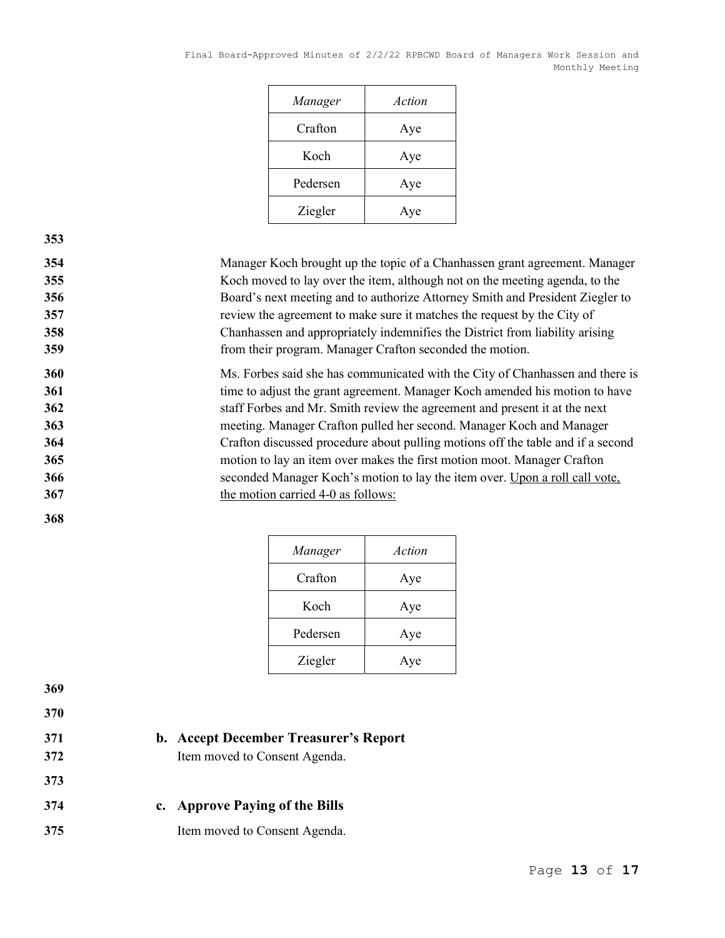| Manager  | Action |
|----------|--------|
| Crafton  | Aye    |
| Koch     | Aye    |
| Pedersen | Aye    |
| Ziegler  | Aye    |

Manager Koch brought up the topic of a Chanhassen grant agreement. Manager Koch moved to lay over the item, although not on the meeting agenda, to the Board's next meeting and to authorize Attorney Smith and President Ziegler to review the agreement to make sure it matches the request by the City of Chanhassen and appropriately indemnifies the District from liability arising from their program. Manager Crafton seconded the motion.

Ms. Forbes said she has communicated with the City of Chanhassen and there is 361 time to adjust the grant agreement. Manager Koch amended his motion to have staff Forbes and Mr. Smith review the agreement and present it at the next meeting. Manager Crafton pulled her second. Manager Koch and Manager Crafton discussed procedure about pulling motions off the table and if a second motion to lay an item over makes the first motion moot. Manager Crafton seconded Manager Koch's motion to lay the item over. Upon a roll call vote, 367 the motion carried 4-0 as follows:

| Manager  | Action |
|----------|--------|
| Crafton  | Aye    |
| Koch     | Aye    |
| Pedersen | Aye    |
| Ziegler  | Aye    |

369

368

370

- 
- 371 b. Accept December Treasurer's Report
- 372 Item moved to Consent Agenda.
- 374 c. Approve Paying of the Bills
- 375 Item moved to Consent Agenda.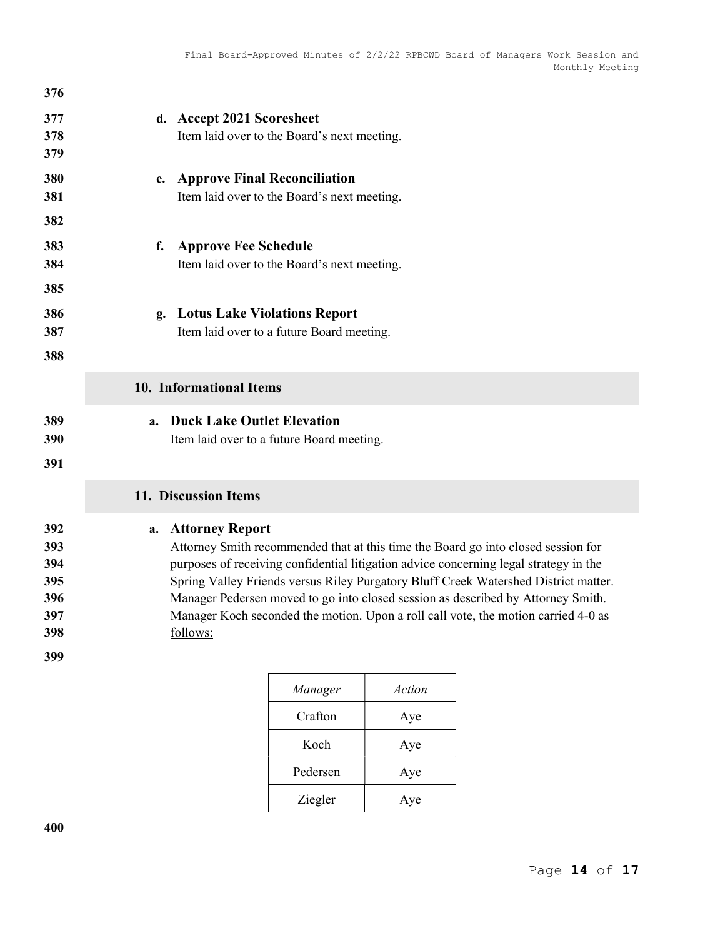| 376                                           |                                                                                                                                                                                                                                                                                                                                                                                                                                                                                         |
|-----------------------------------------------|-----------------------------------------------------------------------------------------------------------------------------------------------------------------------------------------------------------------------------------------------------------------------------------------------------------------------------------------------------------------------------------------------------------------------------------------------------------------------------------------|
| 377<br>378<br>379                             | d. Accept 2021 Scoresheet<br>Item laid over to the Board's next meeting.                                                                                                                                                                                                                                                                                                                                                                                                                |
| 380<br>381<br>382                             | e. Approve Final Reconciliation<br>Item laid over to the Board's next meeting.                                                                                                                                                                                                                                                                                                                                                                                                          |
| 383<br>384<br>385                             | <b>Approve Fee Schedule</b><br>f.<br>Item laid over to the Board's next meeting.                                                                                                                                                                                                                                                                                                                                                                                                        |
| 386<br>387<br>388                             | <b>Lotus Lake Violations Report</b><br>$\mathbf{g}_{\bullet}$<br>Item laid over to a future Board meeting.                                                                                                                                                                                                                                                                                                                                                                              |
|                                               | 10. Informational Items                                                                                                                                                                                                                                                                                                                                                                                                                                                                 |
| 389<br>390<br>391                             | <b>Duck Lake Outlet Elevation</b><br>a.<br>Item laid over to a future Board meeting.                                                                                                                                                                                                                                                                                                                                                                                                    |
|                                               | 11. Discussion Items                                                                                                                                                                                                                                                                                                                                                                                                                                                                    |
| 392<br>393<br>394<br>395<br>396<br>397<br>398 | <b>Attorney Report</b><br>a.<br>Attorney Smith recommended that at this time the Board go into closed session for<br>purposes of receiving confidential litigation advice concerning legal strategy in the<br>Spring Valley Friends versus Riley Purgatory Bluff Creek Watershed District matter.<br>Manager Pedersen moved to go into closed session as described by Attorney Smith.<br>Manager Koch seconded the motion. Upon a roll call vote, the motion carried 4-0 as<br>follows: |
| 399                                           |                                                                                                                                                                                                                                                                                                                                                                                                                                                                                         |

| Manager  | Action |
|----------|--------|
| Crafton  | Aye    |
| Koch     | Aye    |
| Pedersen | Aye    |
| Ziegler  | Aye    |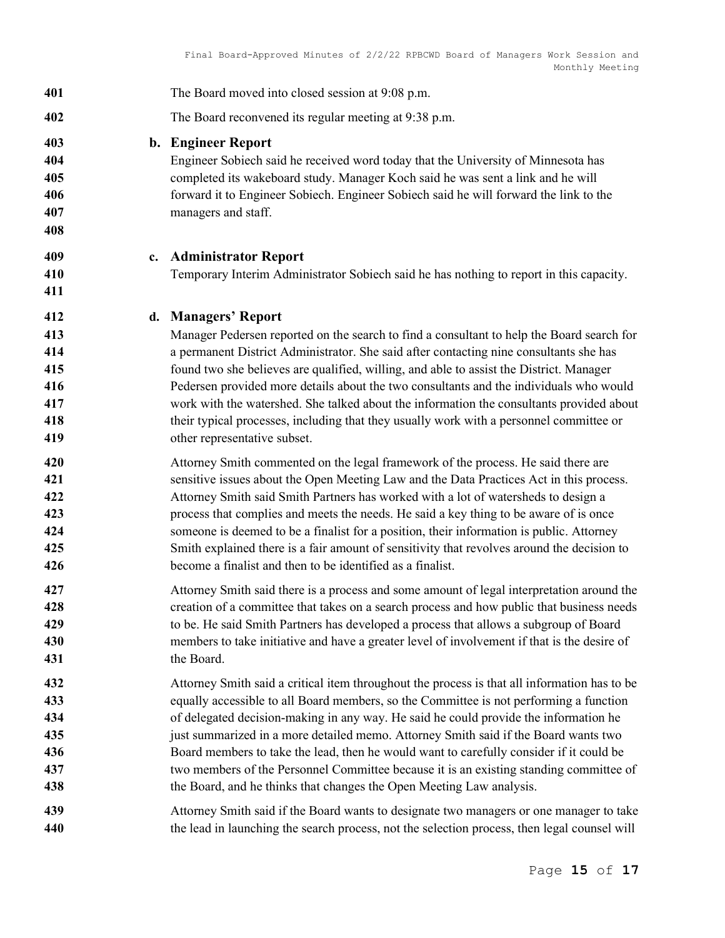| 401                                           | The Board moved into closed session at 9:08 p.m.                                                                                                                                                                                                                                                                                                                                                                                                                                                                                                                                                                                   |
|-----------------------------------------------|------------------------------------------------------------------------------------------------------------------------------------------------------------------------------------------------------------------------------------------------------------------------------------------------------------------------------------------------------------------------------------------------------------------------------------------------------------------------------------------------------------------------------------------------------------------------------------------------------------------------------------|
| 402                                           | The Board reconvened its regular meeting at 9:38 p.m.                                                                                                                                                                                                                                                                                                                                                                                                                                                                                                                                                                              |
| 403<br>404<br>405<br>406<br>407<br>408        | <b>b.</b> Engineer Report<br>Engineer Sobiech said he received word today that the University of Minnesota has<br>completed its wakeboard study. Manager Koch said he was sent a link and he will<br>forward it to Engineer Sobiech. Engineer Sobiech said he will forward the link to the<br>managers and staff.                                                                                                                                                                                                                                                                                                                  |
| 409<br>$c_{\cdot}$                            | <b>Administrator Report</b>                                                                                                                                                                                                                                                                                                                                                                                                                                                                                                                                                                                                        |
| 410<br>411                                    | Temporary Interim Administrator Sobiech said he has nothing to report in this capacity.                                                                                                                                                                                                                                                                                                                                                                                                                                                                                                                                            |
| 412                                           | d. Managers' Report                                                                                                                                                                                                                                                                                                                                                                                                                                                                                                                                                                                                                |
| 413<br>414<br>415<br>416<br>417<br>418<br>419 | Manager Pedersen reported on the search to find a consultant to help the Board search for<br>a permanent District Administrator. She said after contacting nine consultants she has<br>found two she believes are qualified, willing, and able to assist the District. Manager<br>Pedersen provided more details about the two consultants and the individuals who would<br>work with the watershed. She talked about the information the consultants provided about<br>their typical processes, including that they usually work with a personnel committee or<br>other representative subset.                                    |
| 420<br>421<br>422<br>423<br>424<br>425<br>426 | Attorney Smith commented on the legal framework of the process. He said there are<br>sensitive issues about the Open Meeting Law and the Data Practices Act in this process.<br>Attorney Smith said Smith Partners has worked with a lot of watersheds to design a<br>process that complies and meets the needs. He said a key thing to be aware of is once<br>someone is deemed to be a finalist for a position, their information is public. Attorney<br>Smith explained there is a fair amount of sensitivity that revolves around the decision to<br>become a finalist and then to be identified as a finalist.                |
| 427<br>428<br>429<br>430<br>431               | Attorney Smith said there is a process and some amount of legal interpretation around the<br>creation of a committee that takes on a search process and how public that business needs<br>to be. He said Smith Partners has developed a process that allows a subgroup of Board<br>members to take initiative and have a greater level of involvement if that is the desire of<br>the Board.                                                                                                                                                                                                                                       |
| 432<br>433<br>434<br>435<br>436<br>437<br>438 | Attorney Smith said a critical item throughout the process is that all information has to be<br>equally accessible to all Board members, so the Committee is not performing a function<br>of delegated decision-making in any way. He said he could provide the information he<br>just summarized in a more detailed memo. Attorney Smith said if the Board wants two<br>Board members to take the lead, then he would want to carefully consider if it could be<br>two members of the Personnel Committee because it is an existing standing committee of<br>the Board, and he thinks that changes the Open Meeting Law analysis. |
| 439<br>440                                    | Attorney Smith said if the Board wants to designate two managers or one manager to take<br>the lead in launching the search process, not the selection process, then legal counsel will                                                                                                                                                                                                                                                                                                                                                                                                                                            |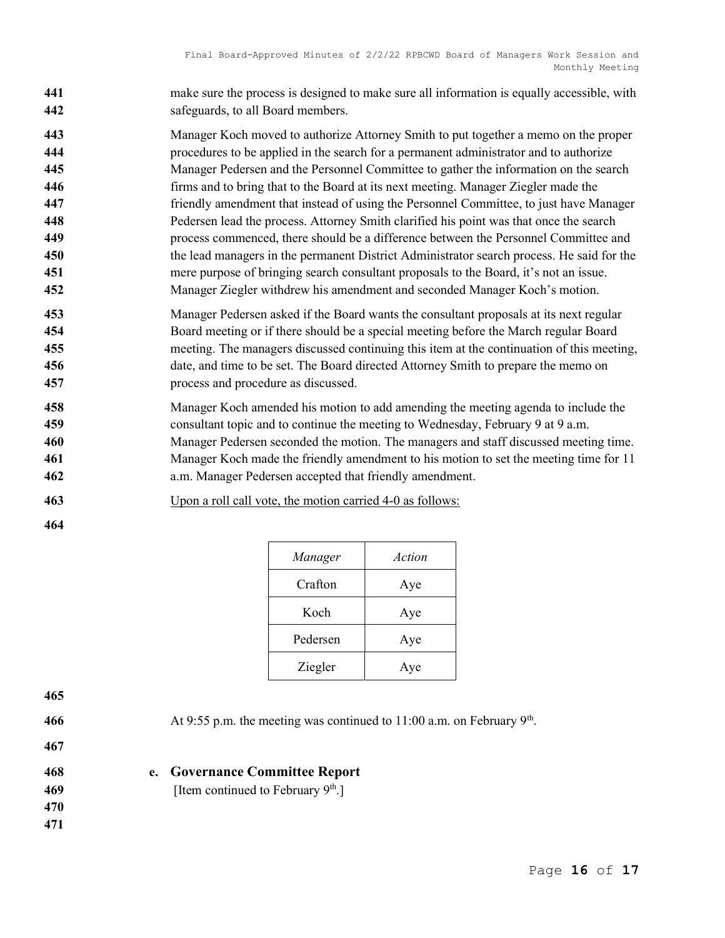- make sure the process is designed to make sure all information is equally accessible, with safeguards, to all Board members.
- Manager Koch moved to authorize Attorney Smith to put together a memo on the proper
- procedures to be applied in the search for a permanent administrator and to authorize
- Manager Pedersen and the Personnel Committee to gather the information on the search firms and to bring that to the Board at its next meeting. Manager Ziegler made the
- friendly amendment that instead of using the Personnel Committee, to just have Manager
- Pedersen lead the process. Attorney Smith clarified his point was that once the search process commenced, there should be a difference between the Personnel Committee and the lead managers in the permanent District Administrator search process. He said for the mere purpose of bringing search consultant proposals to the Board, it's not an issue.
- Manager Ziegler withdrew his amendment and seconded Manager Koch's motion.
- Manager Pedersen asked if the Board wants the consultant proposals at its next regular Board meeting or if there should be a special meeting before the March regular Board meeting. The managers discussed continuing this item at the continuation of this meeting, date, and time to be set. The Board directed Attorney Smith to prepare the memo on process and procedure as discussed.
- Manager Koch amended his motion to add amending the meeting agenda to include the consultant topic and to continue the meeting to Wednesday, February 9 at 9 a.m. Manager Pedersen seconded the motion. The managers and staff discussed meeting time. Manager Koch made the friendly amendment to his motion to set the meeting time for 11 a.m. Manager Pedersen accepted that friendly amendment.
- Upon a roll call vote, the motion carried 4-0 as follows:
- 

| Manager  | Action |
|----------|--------|
| Crafton  | Aye    |
| Koch     | Aye    |
| Pedersen | Aye    |
| Ziegler  | Aye    |

466 At 9:55 p.m. the meeting was continued to 11:00 a.m. on February  $9<sup>th</sup>$ .

- 468 e. Governance Committee Report
- [Item continued to February  $9<sup>th</sup>$ .]
-